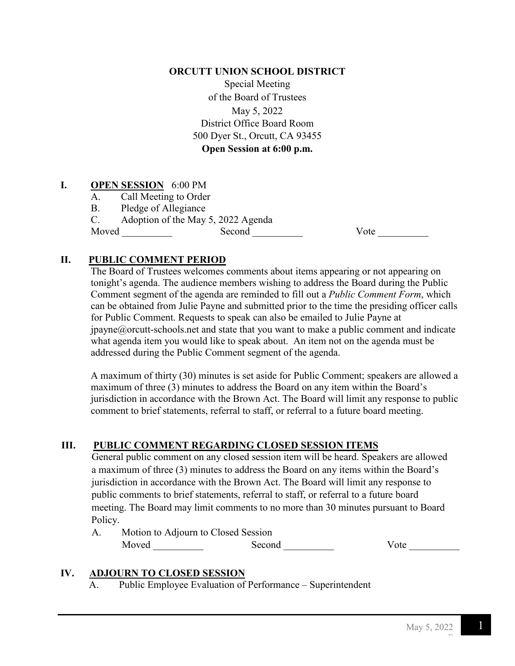### **ORCUTT UNION SCHOOL DISTRICT**

Special Meeting of the Board of Trustees May 5, 2022 District Office Board Room 500 Dyer St., Orcutt, CA 93455 **Open Session at 6:00 p.m.**

# **I. OPEN SESSION** 6:00 PM

- A. Call Meeting to Order
- B. Pledge of Allegiance

C. Adoption of the May 5, 2022 Agenda<br>Moved Second

Moved Second Second Vote 2008

# **II. PUBLIC COMMENT PERIOD**

The Board of Trustees welcomes comments about items appearing or not appearing on tonight's agenda. The audience members wishing to address the Board during the Public Comment segment of the agenda are reminded to fill out a *Public Comment Form*, which can be obtained from Julie Payne and submitted prior to the time the presiding officer calls for Public Comment. Requests to speak can also be emailed to Julie Payne at  $ipavne@orcut-schools.net$  and state that you want to make a public comment and indicate what agenda item you would like to speak about. An item not on the agenda must be addressed during the Public Comment segment of the agenda.

A maximum of thirty (30) minutes is set aside for Public Comment; speakers are allowed a maximum of three (3) minutes to address the Board on any item within the Board's jurisdiction in accordance with the Brown Act. The Board will limit any response to public comment to brief statements, referral to staff, or referral to a future board meeting.

# **III. PUBLIC COMMENT REGARDING CLOSED SESSION ITEMS**

 General public comment on any closed session item will be heard. Speakers are allowed a maximum of three (3) minutes to address the Board on any items within the Board's jurisdiction in accordance with the Brown Act. The Board will limit any response to public comments to brief statements, referral to staff, or referral to a future board meeting. The Board may limit comments to no more than 30 minutes pursuant to Board Policy.

 A. Motion to Adjourn to Closed Session Moved Second Vote

### **IV. ADJOURN TO CLOSED SESSION**

A. Public Employee Evaluation of Performance – Superintendent

F